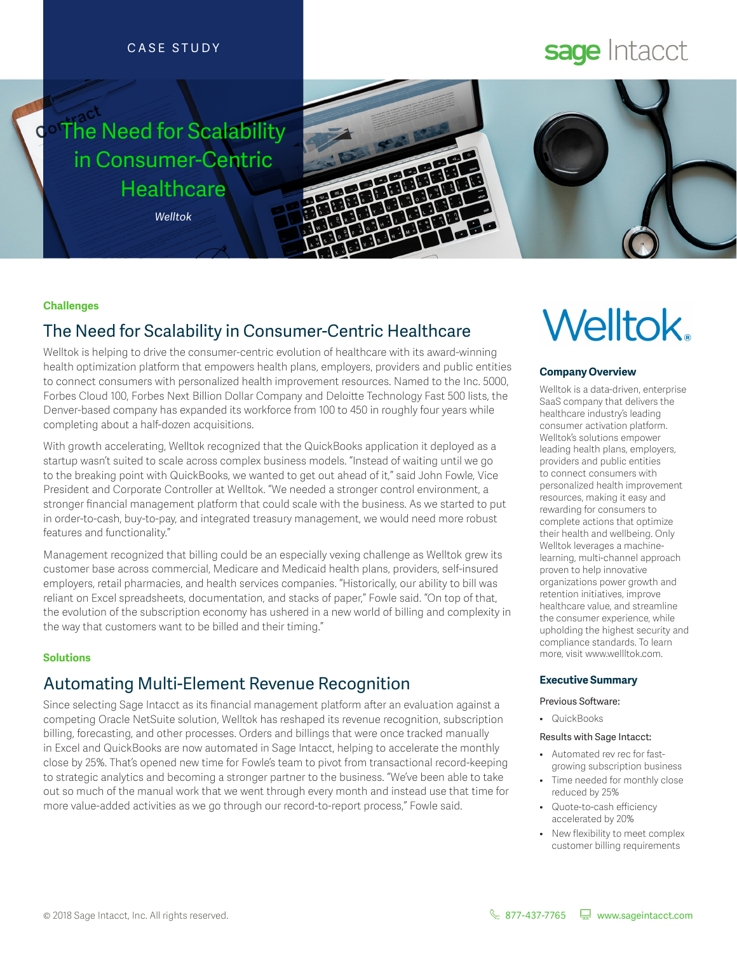#### CASE STUDY

# **The Need for Scalability** in Consumer-Centric **Healthcare**

*Welltok*



# sage Intacct

# **Welltok**

#### **Challenges**

## The Need for Scalability in Consumer-Centric Healthcare

Welltok is helping to drive the consumer-centric evolution of healthcare with its award-winning health optimization platform that empowers health plans, employers, providers and public entities to connect consumers with personalized health improvement resources. Named to the Inc. 5000, Forbes Cloud 100, Forbes Next Billion Dollar Company and Deloite Technology Fast 500 lists, the Denver-based company has expanded its workforce from 100 to 450 in roughly four years while completing about a half-dozen acquisitions.

With growth accelerating, Welltok recognized that the QuickBooks application it deployed as a startup wasn't suited to scale across complex business models. "Instead of waiting until we go to the breaking point with QuickBooks, we wanted to get out ahead of it," said John Fowle, Vice President and Corporate Controller at Welltok. "We needed a stronger control environment, a stronger fnancial management platform that could scale with the business. As we started to put in order-to-cash, buy-to-pay, and integrated treasury management, we would need more robust features and functionality."

Management recognized that billing could be an especially vexing challenge as Welltok grew its customer base across commercial, Medicare and Medicaid health plans, providers, self-insured employers, retail pharmacies, and health services companies. "Historically, our ability to bill was reliant on Excel spreadsheets, documentation, and stacks of paper," Fowle said. "On top of that, the evolution of the subscription economy has ushered in a new world of billing and complexity in the way that customers want to be billed and their timing."

#### **Solutions**

## Automating Multi-Element Revenue Recognition

Since selecting Sage Intacct as its fnancial management platform afer an evaluation against a competing Oracle NetSuite solution, Welltok has reshaped its revenue recognition, subscription billing, forecasting, and other processes. Orders and billings that were once tracked manually in Excel and QuickBooks are now automated in Sage Intacct, helping to accelerate the monthly close by 25%. That's opened new time for Fowle's team to pivot from transactional record-keeping to strategic analytics and becoming a stronger partner to the business. "We've been able to take out so much of the manual work that we went through every month and instead use that time for more value-added activities as we go through our record-to-report process," Fowle said.

#### **Company Overview**

Welltok is a data-driven, enterprise SaaS company that delivers the healthcare industry's leading consumer activation platform. Welltok's solutions empower leading health plans, employers, providers and public entities to connect consumers with personalized health improvement resources, making it easy and rewarding for consumers to complete actions that optimize their health and wellbeing. Only Welltok leverages a machinelearning, multi-channel approach proven to help innovative organizations power growth and retention initiatives, improve healthcare value, and streamline the consumer experience, while upholding the highest security and compliance standards. To learn more, visit www.wellltok.com.

#### **Executive Summary**

#### Previous Software:

• QuickBooks

#### Results with Sage Intacct:

- Automated rev rec for fastgrowing subscription business
- Time needed for monthly close reduced by 25%
- Quote-to-cash efficiency accelerated by 20%
- New flexibility to meet complex customer billing requirements